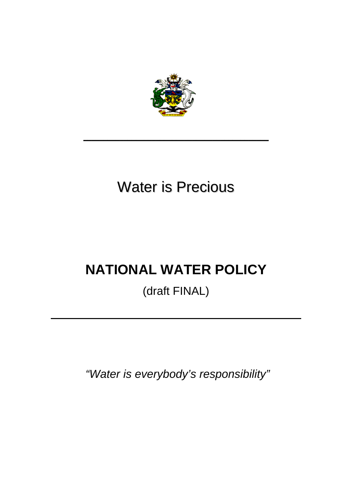

# Water is Precious

**\_\_\_\_\_\_\_\_\_\_\_\_\_\_\_\_\_\_\_\_\_\_\_\_\_\_\_\_\_\_\_\_\_\_\_\_\_\_\_\_\_\_\_\_\_\_**

# **NATIONAL WATER POLICY**

# (draft FINAL)

 *"Water is everybody's responsibility"*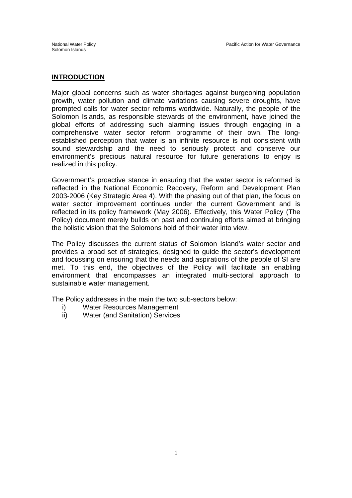#### **INTRODUCTION**

Major global concerns such as water shortages against burgeoning population growth, water pollution and climate variations causing severe droughts, have prompted calls for water sector reforms worldwide. Naturally, the people of the Solomon Islands, as responsible stewards of the environment, have joined the global efforts of addressing such alarming issues through engaging in a comprehensive water sector reform programme of their own. The longestablished perception that water is an infinite resource is not consistent with sound stewardship and the need to seriously protect and conserve our environment's precious natural resource for future generations to enjoy is realized in this policy.

Government's proactive stance in ensuring that the water sector is reformed is reflected in the National Economic Recovery, Reform and Development Plan 2003-2006 (Key Strategic Area 4). With the phasing out of that plan, the focus on water sector improvement continues under the current Government and is reflected in its policy framework (May 2006). Effectively, this Water Policy (The Policy) document merely builds on past and continuing efforts aimed at bringing the holistic vision that the Solomons hold of their water into view.

The Policy discusses the current status of Solomon Island's water sector and provides a broad set of strategies, designed to guide the sector's development and focussing on ensuring that the needs and aspirations of the people of SI are met. To this end, the objectives of the Policy will facilitate an enabling environment that encompasses an integrated multi-sectoral approach to sustainable water management.

The Policy addresses in the main the two sub-sectors below:

- i) Water Resources Management
- ii) Water (and Sanitation) Services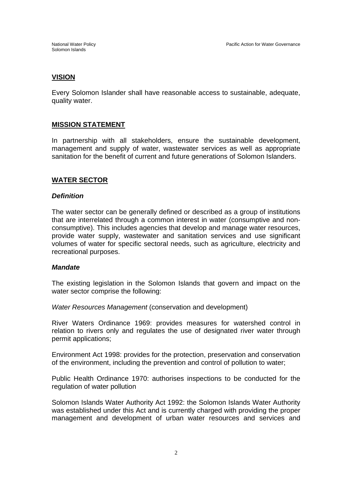#### **VISION**

Every Solomon Islander shall have reasonable access to sustainable, adequate, quality water.

#### **MISSION STATEMENT**

In partnership with all stakeholders, ensure the sustainable development, management and supply of water, wastewater services as well as appropriate sanitation for the benefit of current and future generations of Solomon Islanders.

## **WATER SECTOR**

#### *Definition*

The water sector can be generally defined or described as a group of institutions that are interrelated through a common interest in water (consumptive and nonconsumptive). This includes agencies that develop and manage water resources, provide water supply, wastewater and sanitation services and use significant volumes of water for specific sectoral needs, such as agriculture, electricity and recreational purposes.

#### *Mandate*

The existing legislation in the Solomon Islands that govern and impact on the water sector comprise the following:

*Water Resources Management* (conservation and development)

River Waters Ordinance 1969: provides measures for watershed control in relation to rivers only and regulates the use of designated river water through permit applications;

Environment Act 1998: provides for the protection, preservation and conservation of the environment, including the prevention and control of pollution to water;

Public Health Ordinance 1970: authorises inspections to be conducted for the regulation of water pollution

Solomon Islands Water Authority Act 1992: the Solomon Islands Water Authority was established under this Act and is currently charged with providing the proper management and development of urban water resources and services and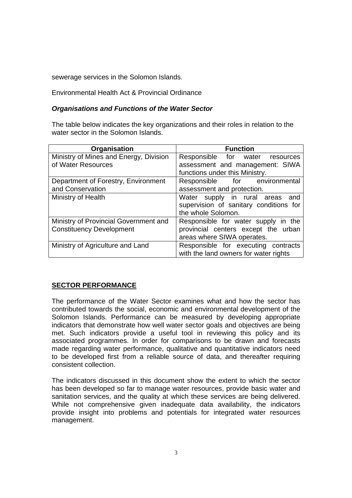sewerage services in the Solomon Islands.

Environmental Health Act & Provincial Ordinance

## *Organisations and Functions of the Water Sector*

The table below indicates the key organizations and their roles in relation to the water sector in the Solomon Islands.

| Organisation                           | <b>Function</b>                        |
|----------------------------------------|----------------------------------------|
| Ministry of Mines and Energy, Division | Responsible for water resources        |
| of Water Resources                     | assessment and management: SIWA        |
|                                        | functions under this Ministry.         |
| Department of Forestry, Environment    | Responsible for environmental          |
| and Conservation                       | assessment and protection.             |
| Ministry of Health                     | Water supply in rural areas<br>and     |
|                                        | supervision of sanitary conditions for |
|                                        | the whole Solomon.                     |
| Ministry of Provincial Government and  | Responsible for water supply in the    |
| <b>Constituency Development</b>        | provincial centers except the urban    |
|                                        | areas where SIWA operates.             |
| Ministry of Agriculture and Land       | Responsible for executing contracts    |
|                                        | with the land owners for water rights  |

# **SECTOR PERFORMANCE**

The performance of the Water Sector examines what and how the sector has contributed towards the social, economic and environmental development of the Solomon Islands. Performance can be measured by developing appropriate indicators that demonstrate how well water sector goals and objectives are being met. Such indicators provide a useful tool in reviewing this policy and its associated programmes. In order for comparisons to be drawn and forecasts made regarding water performance, qualitative and quantitative indicators need to be developed first from a reliable source of data, and thereafter requiring consistent collection.

The indicators discussed in this document show the extent to which the sector has been developed so far to manage water resources, provide basic water and sanitation services, and the quality at which these services are being delivered. While not comprehensive given inadequate data availability, the indicators provide insight into problems and potentials for integrated water resources management.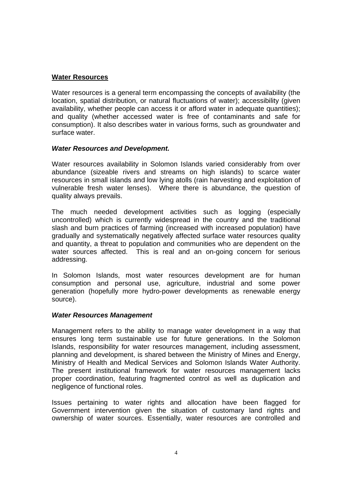#### **Water Resources**

Water resources is a general term encompassing the concepts of availability (the location, spatial distribution, or natural fluctuations of water); accessibility (given availability, whether people can access it or afford water in adequate quantities); and quality (whether accessed water is free of contaminants and safe for consumption). It also describes water in various forms, such as groundwater and surface water.

#### *Water Resources and Development.*

Water resources availability in Solomon Islands varied considerably from over abundance (sizeable rivers and streams on high islands) to scarce water resources in small islands and low lying atolls (rain harvesting and exploitation of vulnerable fresh water lenses). Where there is abundance, the question of quality always prevails.

The much needed development activities such as logging (especially uncontrolled) which is currently widespread in the country and the traditional slash and burn practices of farming (increased with increased population) have gradually and systematically negatively affected surface water resources quality and quantity, a threat to population and communities who are dependent on the water sources affected. This is real and an on-going concern for serious addressing.

In Solomon Islands, most water resources development are for human consumption and personal use, agriculture, industrial and some power generation (hopefully more hydro-power developments as renewable energy source).

#### *Water Resources Management*

Management refers to the ability to manage water development in a way that ensures long term sustainable use for future generations. In the Solomon Islands, responsibility for water resources management, including assessment, planning and development, is shared between the Ministry of Mines and Energy, Ministry of Health and Medical Services and Solomon Islands Water Authority. The present institutional framework for water resources management lacks proper coordination, featuring fragmented control as well as duplication and negligence of functional roles.

Issues pertaining to water rights and allocation have been flagged for Government intervention given the situation of customary land rights and ownership of water sources. Essentially, water resources are controlled and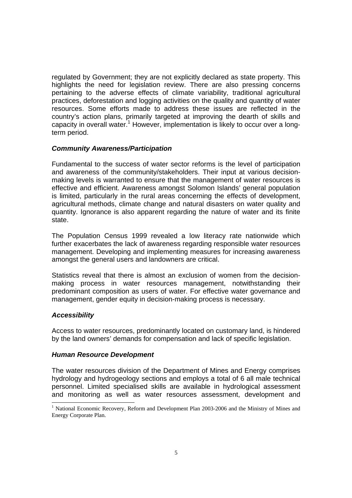regulated by Government; they are not explicitly declared as state property. This highlights the need for legislation review. There are also pressing concerns pertaining to the adverse effects of climate variability, traditional agricultural practices, deforestation and logging activities on the quality and quantity of water resources. Some efforts made to address these issues are reflected in the country's action plans, primarily targeted at improving the dearth of skills and capacity in overall water.<sup>1</sup> However, implementation is likely to occur over a longterm period.

#### *Community Awareness/Participation*

Fundamental to the success of water sector reforms is the level of participation and awareness of the community/stakeholders. Their input at various decisionmaking levels is warranted to ensure that the management of water resources is effective and efficient. Awareness amongst Solomon Islands' general population is limited, particularly in the rural areas concerning the effects of development, agricultural methods, climate change and natural disasters on water quality and quantity. Ignorance is also apparent regarding the nature of water and its finite state.

The Population Census 1999 revealed a low literacy rate nationwide which further exacerbates the lack of awareness regarding responsible water resources management. Developing and implementing measures for increasing awareness amongst the general users and landowners are critical.

Statistics reveal that there is almost an exclusion of women from the decisionmaking process in water resources management, notwithstanding their predominant composition as users of water. For effective water governance and management, gender equity in decision-making process is necessary.

#### *Accessibility*

l

Access to water resources, predominantly located on customary land, is hindered by the land owners' demands for compensation and lack of specific legislation.

#### *Human Resource Development*

The water resources division of the Department of Mines and Energy comprises hydrology and hydrogeology sections and employs a total of 6 all male technical personnel. Limited specialised skills are available in hydrological assessment and monitoring as well as water resources assessment, development and

<sup>&</sup>lt;sup>1</sup> National Economic Recovery, Reform and Development Plan 2003-2006 and the Ministry of Mines and Energy Corporate Plan.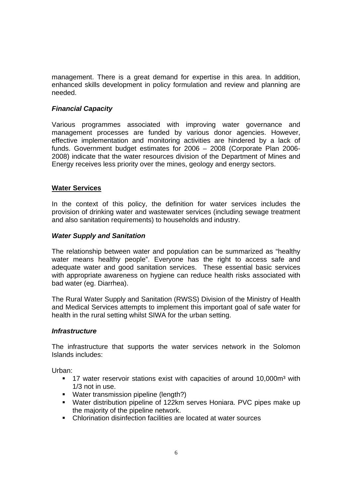management. There is a great demand for expertise in this area. In addition, enhanced skills development in policy formulation and review and planning are needed.

# *Financial Capacity*

Various programmes associated with improving water governance and management processes are funded by various donor agencies. However, effective implementation and monitoring activities are hindered by a lack of funds. Government budget estimates for 2006 – 2008 (Corporate Plan 2006- 2008) indicate that the water resources division of the Department of Mines and Energy receives less priority over the mines, geology and energy sectors.

#### **Water Services**

In the context of this policy, the definition for water services includes the provision of drinking water and wastewater services (including sewage treatment and also sanitation requirements) to households and industry.

#### *Water Supply and Sanitation*

The relationship between water and population can be summarized as "healthy water means healthy people". Everyone has the right to access safe and adequate water and good sanitation services. These essential basic services with appropriate awareness on hygiene can reduce health risks associated with bad water (eg. Diarrhea).

The Rural Water Supply and Sanitation (RWSS) Division of the Ministry of Health and Medical Services attempts to implement this important goal of safe water for health in the rural setting whilst SIWA for the urban setting.

#### *Infrastructure*

The infrastructure that supports the water services network in the Solomon Islands includes:

Urban:

- 17 water reservoir stations exist with capacities of around 10,000m<sup>3</sup> with 1/3 not in use.
- **Water transmission pipeline (length?)**
- Water distribution pipeline of 122km serves Honiara. PVC pipes make up the majority of the pipeline network.
- Chlorination disinfection facilities are located at water sources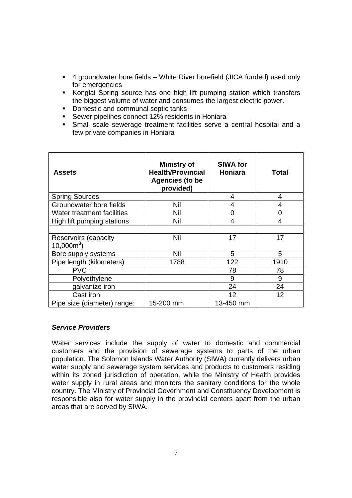- 4 groundwater bore fields White River borefield (JICA funded) used only for emergencies
- Konglai Spring source has one high lift pumping station which transfers the biggest volume of water and consumes the largest electric power.
- Domestic and communal septic tanks
- **Sewer pipelines connect 12% residents in Honiara**
- Small scale sewerage treatment facilities serve a central hospital and a few private companies in Honiara

| Assets                              | <b>Ministry of</b><br><b>Health/Provincial</b><br>Agencies (to be<br>provided) | <b>SIWA for</b><br><b>Honiara</b> | Total |
|-------------------------------------|--------------------------------------------------------------------------------|-----------------------------------|-------|
| <b>Spring Sources</b>               |                                                                                | 4                                 | 4     |
| Groundwater bore fields             | Nil                                                                            | 4                                 | 4     |
| Water treatment facilities          | Nil                                                                            | $\overline{0}$                    | 0     |
| High lift pumping stations          | Nil                                                                            | 4                                 | 4     |
|                                     |                                                                                |                                   |       |
| Reservoirs (capacity<br>$10,000m^3$ | Nil                                                                            | 17                                | 17    |
| Bore supply systems                 | Nil                                                                            | 5                                 | 5     |
| Pipe length (kilometers)            | 1788                                                                           | 122                               | 1910  |
| <b>PVC</b>                          |                                                                                | 78                                | 78    |
| Polyethylene                        |                                                                                | 9                                 | 9     |
| galvanize iron                      |                                                                                | 24                                | 24    |
| Cast iron                           |                                                                                | 12                                | 12    |
| Pipe size (diameter) range:         | 15-200 mm                                                                      | 13-450 mm                         |       |

#### *Service Providers*

Water services include the supply of water to domestic and commercial customers and the provision of sewerage systems to parts of the urban population. The Solomon Islands Water Authority (SIWA) currently delivers urban water supply and sewerage system services and products to customers residing within its zoned jurisdiction of operation, while the Ministry of Health provides water supply in rural areas and monitors the sanitary conditions for the whole country. The Ministry of Provincial Government and Constituency Development is responsible also for water supply in the provincial centers apart from the urban areas that are served by SIWA.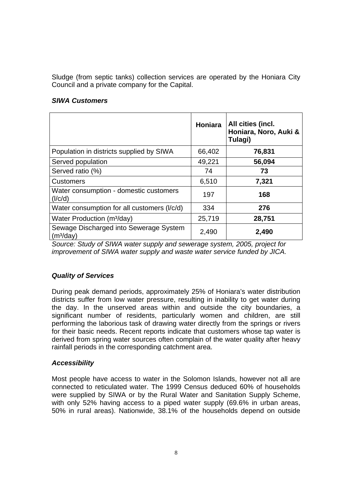Sludge (from septic tanks) collection services are operated by the Honiara City Council and a private company for the Capital.

#### *SIWA Customers*

|                                                                 | Honiara | All cities (incl.<br>Honiara, Noro, Auki &<br>Tulagi) |
|-----------------------------------------------------------------|---------|-------------------------------------------------------|
| Population in districts supplied by SIWA                        | 66,402  | 76,831                                                |
| Served population                                               | 49,221  | 56,094                                                |
| Served ratio (%)                                                | 74      | 73                                                    |
| <b>Customers</b>                                                | 6,510   | 7,321                                                 |
| Water consumption - domestic customers<br>(I/c/d)               | 197     | 168                                                   |
| Water consumption for all customers (I/c/d)                     | 334     | 276                                                   |
| Water Production (m <sup>3</sup> /day)                          | 25,719  | 28,751                                                |
| Sewage Discharged into Sewerage System<br>(m <sup>3</sup> /day) | 2,490   | 2,490                                                 |

*Source: Study of SIWA water supply and sewerage system, 2005, project for improvement of SIWA water supply and waste water service funded by JICA.*

# *Quality of Services*

During peak demand periods, approximately 25% of Honiara's water distribution districts suffer from low water pressure, resulting in inability to get water during the day. In the unserved areas within and outside the city boundaries, a significant number of residents, particularly women and children, are still performing the laborious task of drawing water directly from the springs or rivers for their basic needs. Recent reports indicate that customers whose tap water is derived from spring water sources often complain of the water quality after heavy rainfall periods in the corresponding catchment area.

# *Accessibility*

Most people have access to water in the Solomon Islands, however not all are connected to reticulated water. The 1999 Census deduced 60% of households were supplied by SIWA or by the Rural Water and Sanitation Supply Scheme, with only 52% having access to a piped water supply (69.6% in urban areas, 50% in rural areas). Nationwide, 38.1% of the households depend on outside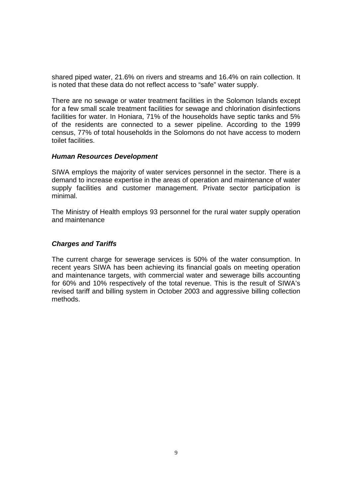shared piped water, 21.6% on rivers and streams and 16.4% on rain collection. It is noted that these data do not reflect access to "safe" water supply.

There are no sewage or water treatment facilities in the Solomon Islands except for a few small scale treatment facilities for sewage and chlorination disinfections facilities for water. In Honiara, 71% of the households have septic tanks and 5% of the residents are connected to a sewer pipeline. According to the 1999 census, 77% of total households in the Solomons do not have access to modern toilet facilities.

#### *Human Resources Development*

SIWA employs the majority of water services personnel in the sector. There is a demand to increase expertise in the areas of operation and maintenance of water supply facilities and customer management. Private sector participation is minimal.

The Ministry of Health employs 93 personnel for the rural water supply operation and maintenance

#### *Charges and Tariffs*

The current charge for sewerage services is 50% of the water consumption. In recent years SIWA has been achieving its financial goals on meeting operation and maintenance targets, with commercial water and sewerage bills accounting for 60% and 10% respectively of the total revenue. This is the result of SIWA's revised tariff and billing system in October 2003 and aggressive billing collection methods.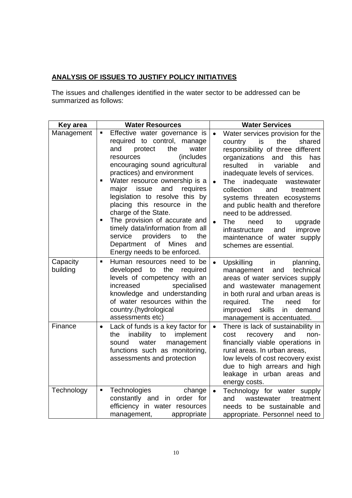# **ANALYSIS OF ISSUES TO JUSTIFY POLICY INITIATIVES**

The issues and challenges identified in the water sector to be addressed can be summarized as follows:

| Key area             | <b>Water Resources</b>                                                                                                                                                                                                                                                                                      | <b>Water Services</b>                                                                                                                                                                                                                                                                                                                               |
|----------------------|-------------------------------------------------------------------------------------------------------------------------------------------------------------------------------------------------------------------------------------------------------------------------------------------------------------|-----------------------------------------------------------------------------------------------------------------------------------------------------------------------------------------------------------------------------------------------------------------------------------------------------------------------------------------------------|
| Management           | Effective water governance is<br>Π<br>required to control, manage<br>and<br>water<br>protect<br>the<br>(includes)<br>resources<br>encouraging sound agricultural<br>practices) and environment<br>Water resource ownership is a<br>П<br>issue<br>and<br>major<br>requires<br>legislation to resolve this by | Water services provision for the<br>$\bullet$<br>is<br>the<br>shared<br>country<br>responsibility of three different<br>organizations<br>and<br>this<br>has<br>resulted<br>variable<br>and<br>in<br>inadequate levels of services.<br>inadequate<br>$\bullet$<br>The<br>wastewater<br>collection<br>and<br>treatment<br>systems threaten ecosystems |
|                      | placing this resource in the<br>charge of the State.<br>The provision of accurate and<br>timely data/information from all<br>providers<br>the<br>service<br>to<br>Department of Mines<br>and<br>Energy needs to be enforced.                                                                                | and public health and therefore<br>need to be addressed.<br>$\bullet$<br>The<br>need<br>upgrade<br>to<br>improve<br>infrastructure<br>and<br>maintenance of water supply<br>schemes are essential.                                                                                                                                                  |
| Capacity<br>building | Human resources need to be<br>Ξ<br>developed to<br>the<br>required<br>levels of competency with an<br>increased<br>specialised<br>knowledge and understanding<br>of water resources within the<br>country.(hydrological<br>assessments etc)                                                                 | Upskilling in<br>planning,<br>$\bullet$<br>management<br>and<br>technical<br>areas of water services supply<br>and wastewater management<br>in both rural and urban areas is<br>The<br>for<br>required.<br>need<br>skills<br>improved<br>in<br>demand<br>management is accentuated.                                                                 |
| Finance              | Lack of funds is a key factor for<br>$\bullet$<br>inability to<br>implement<br>the<br>water<br>management<br>sound<br>functions such as monitoring,<br>assessments and protection                                                                                                                           | There is lack of sustainability in<br>$\bullet$<br>recovery<br>and<br>cost<br>non-<br>financially viable operations in<br>rural areas. In urban areas,<br>low levels of cost recovery exist<br>due to high arrears and high<br>leakage in urban areas and<br>energy costs.                                                                          |
| Technology           | Technologies<br>change<br>Ξ<br>constantly and in order for<br>efficiency in water resources<br>appropriate<br>management,                                                                                                                                                                                   | Technology for water supply<br>$\bullet$<br>wastewater<br>and<br>treatment<br>needs to be sustainable and<br>appropriate. Personnel need to                                                                                                                                                                                                         |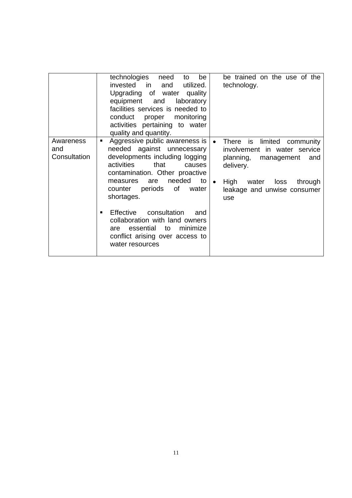|                                  | technologies<br>need<br>be<br>to<br>invested in<br>utilized.<br>and<br>Upgrading of water quality<br>equipment and<br>laboratory<br>facilities services is needed to<br>proper monitoring<br>conduct<br>activities pertaining to water<br>quality and quantity.                                                                                                                                                             | be trained on the use of the<br>technology.                                                                                                                                                                      |
|----------------------------------|-----------------------------------------------------------------------------------------------------------------------------------------------------------------------------------------------------------------------------------------------------------------------------------------------------------------------------------------------------------------------------------------------------------------------------|------------------------------------------------------------------------------------------------------------------------------------------------------------------------------------------------------------------|
| Awareness<br>and<br>Consultation | Aggressive public awareness is<br>٠<br>needed against unnecessary<br>developments including logging<br>activities<br>that<br>causes<br>contamination. Other proactive<br>needed<br>to I<br>are<br>measures<br>periods of water<br>counter<br>shortages.<br>consultation<br>Effective<br>and<br>٠<br>collaboration with land owners<br>essential to<br>minimize<br>are<br>conflict arising over access to<br>water resources | There is limited<br>community<br>$\bullet$<br>involvement in water service<br>planning,<br>management<br>and<br>delivery.<br>High<br>loss<br>through<br>water<br>$\bullet$<br>leakage and unwise consumer<br>use |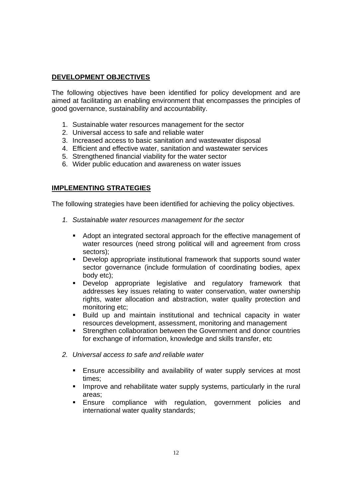# **DEVELOPMENT OBJECTIVES**

The following objectives have been identified for policy development and are aimed at facilitating an enabling environment that encompasses the principles of good governance, sustainability and accountability.

- 1. Sustainable water resources management for the sector
- 2. Universal access to safe and reliable water
- 3. Increased access to basic sanitation and wastewater disposal
- 4. Efficient and effective water, sanitation and wastewater services
- 5. Strengthened financial viability for the water sector
- 6. Wider public education and awareness on water issues

## **IMPLEMENTING STRATEGIES**

The following strategies have been identified for achieving the policy objectives.

- *1. Sustainable water resources management for the sector* 
	- Adopt an integrated sectoral approach for the effective management of water resources (need strong political will and agreement from cross sectors);
	- **Develop appropriate institutional framework that supports sound water** sector governance (include formulation of coordinating bodies, apex body etc);
	- Develop appropriate legislative and regulatory framework that addresses key issues relating to water conservation, water ownership rights, water allocation and abstraction, water quality protection and monitoring etc;
	- Build up and maintain institutional and technical capacity in water resources development, assessment, monitoring and management
	- **Strengthen collaboration between the Government and donor countries** for exchange of information, knowledge and skills transfer, etc
- *2. Universal access to safe and reliable water* 
	- **Ensure accessibility and availability of water supply services at most** times;
	- **IMPROVE and rehabilitate water supply systems, particularly in the rural** areas;
	- Ensure compliance with regulation, government policies and international water quality standards;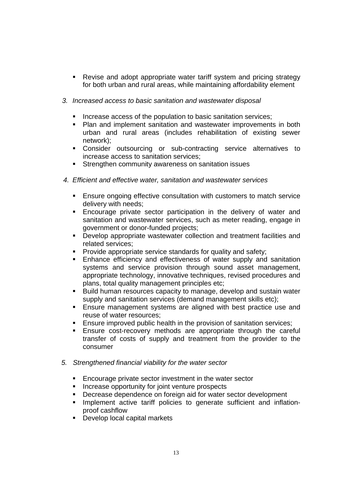- Revise and adopt appropriate water tariff system and pricing strategy for both urban and rural areas, while maintaining affordability element
- *3. Increased access to basic sanitation and wastewater disposal* 
	- Increase access of the population to basic sanitation services;
	- **Plan and implement sanitation and wastewater improvements in both** urban and rural areas (includes rehabilitation of existing sewer network);
	- Consider outsourcing or sub-contracting service alternatives to increase access to sanitation services;
	- Strengthen community awareness on sanitation issues
- *4. Efficient and effective water, sanitation and wastewater services* 
	- Ensure ongoing effective consultation with customers to match service delivery with needs;
	- Encourage private sector participation in the delivery of water and sanitation and wastewater services, such as meter reading, engage in government or donor-funded projects;
	- **•** Develop appropriate wastewater collection and treatment facilities and related services;
	- **Provide appropriate service standards for quality and safety;**
	- **Enhance efficiency and effectiveness of water supply and sanitation** systems and service provision through sound asset management, appropriate technology, innovative techniques, revised procedures and plans, total quality management principles etc;
	- Build human resources capacity to manage, develop and sustain water supply and sanitation services (demand management skills etc);
	- **Ensure management systems are aligned with best practice use and** reuse of water resources;
	- Ensure improved public health in the provision of sanitation services;
	- **Ensure cost-recovery methods are appropriate through the careful** transfer of costs of supply and treatment from the provider to the consumer
- *5. Strengthened financial viability for the water sector* 
	- **Encourage private sector investment in the water sector**
	- **Increase opportunity for joint venture prospects**
	- **Decrease dependence on foreign aid for water sector development**
	- **Implement active tariff policies to generate sufficient and inflation**proof cashflow
	- Develop local capital markets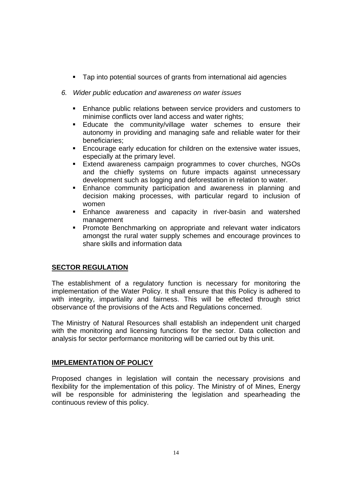- **Tap into potential sources of grants from international aid agencies**
- *6. Wider public education and awareness on water issues* 
	- Enhance public relations between service providers and customers to minimise conflicts over land access and water rights;
	- Educate the community/village water schemes to ensure their autonomy in providing and managing safe and reliable water for their beneficiaries;
	- Encourage early education for children on the extensive water issues, especially at the primary level.
	- Extend awareness campaign programmes to cover churches, NGOs and the chiefly systems on future impacts against unnecessary development such as logging and deforestation in relation to water.
	- Enhance community participation and awareness in planning and decision making processes, with particular regard to inclusion of women
	- **Enhance awareness and capacity in river-basin and watershed** management
	- **Promote Benchmarking on appropriate and relevant water indicators** amongst the rural water supply schemes and encourage provinces to share skills and information data

# **SECTOR REGULATION**

The establishment of a regulatory function is necessary for monitoring the implementation of the Water Policy. It shall ensure that this Policy is adhered to with integrity, impartiality and fairness. This will be effected through strict observance of the provisions of the Acts and Regulations concerned.

The Ministry of Natural Resources shall establish an independent unit charged with the monitoring and licensing functions for the sector. Data collection and analysis for sector performance monitoring will be carried out by this unit.

# **IMPLEMENTATION OF POLICY**

Proposed changes in legislation will contain the necessary provisions and flexibility for the implementation of this policy. The Ministry of of Mines, Energy will be responsible for administering the legislation and spearheading the continuous review of this policy.